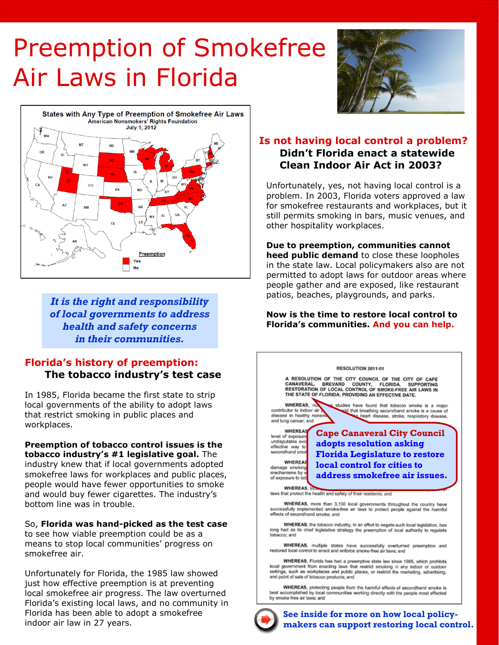# Preemption of Smokefree Air Laws in Florida



*It is the right and responsibility of local governments to address health and safety concerns in their communities.*

## **Florida's history of preemption: The tobacco industry's test case**

In 1985, Florida became the first state to strip local governments of the ability to adopt laws that restrict smoking in public places and workplaces.

**Preemption of tobacco control issues is the tobacco industry's #1 legislative goal.** The industry knew that if local governments adopted smokefree laws for workplaces and public places, people would have fewer opportunities to smoke and would buy fewer cigarettes. The industry's bottom line was in trouble.

So, **Florida was hand-picked as the test case**  to see how viable preemption could be as a means to stop local communities' progress on smokefree air.

Unfortunately for Florida, the 1985 law showed just how effective preemption is at preventing local smokefree air progress. The law overturned Florida's existing local laws, and no community in Florida has been able to adopt a smokefree indoor air law in 27 years.



# **Didn't Florida enact a statewide Clean Indoor Air Act in 2003? Is not having local control a problem?**

Unfortunately, yes, not having local control is a problem. In 2003, Florida voters approved a law for smokefree restaurants and workplaces, but it still permits smoking in bars, music venues, and other hospitality workplaces.

**Due to preemption, communities cannot heed public demand** to close these loopholes in the state law. Local policymakers also are not permitted to adopt laws for outdoor areas where people gather and are exposed, like restaurant patios, beaches, playgrounds, and parks.

#### **Now is the time to restore local control to Florida's communities. And you can help.**



**See inside for more on how local policymakers can support restoring local control.**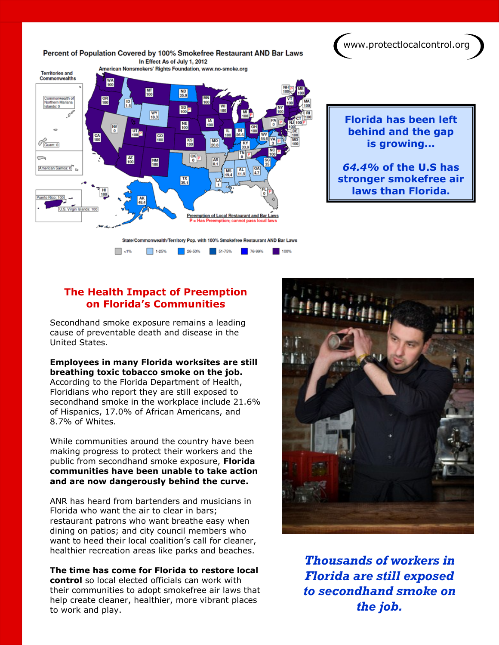www.protectlocalcontrol.org



**Florida has been left behind and the gap is growing...** 

#### *64.4%* **of the U.S has stronger smokefree air laws than Florida.**

# **The Health Impact of Preemption on Florida's Communities**

Secondhand smoke exposure remains a leading cause of preventable death and disease in the United States.

#### **Employees in many Florida worksites are still breathing toxic tobacco smoke on the job.**

According to the Florida Department of Health, Floridians who report they are still exposed to secondhand smoke in the workplace include 21.6% of Hispanics, 17.0% of African Americans, and 8.7% of Whites.

While communities around the country have been making progress to protect their workers and the public from secondhand smoke exposure, **Florida communities have been unable to take action and are now dangerously behind the curve.** 

ANR has heard from bartenders and musicians in Florida who want the air to clear in bars; restaurant patrons who want breathe easy when dining on patios; and city council members who want to heed their local coalition's call for cleaner, healthier recreation areas like parks and beaches.

**The time has come for Florida to restore local control** so local elected officials can work with their communities to adopt smokefree air laws that help create cleaner, healthier, more vibrant places to work and play.



*Thousands of workers in Florida are still exposed to secondhand smoke on the job.*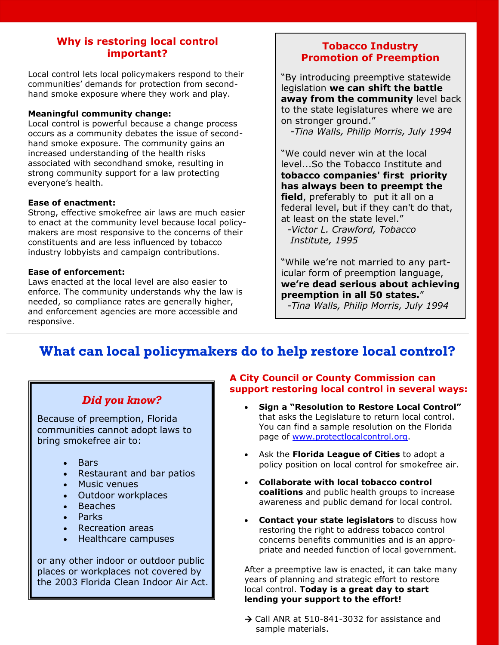## **Why is restoring local control important?**

Local control lets local policymakers respond to their communities' demands for protection from secondhand smoke exposure where they work and play.

#### **Meaningful community change:**

Local control is powerful because a change process occurs as a community debates the issue of secondhand smoke exposure. The community gains an increased understanding of the health risks associated with secondhand smoke, resulting in strong community support for a law protecting everyone's health.

#### **Ease of enactment:**

Strong, effective smokefree air laws are much easier to enact at the community level because local policymakers are most responsive to the concerns of their constituents and are less influenced by tobacco industry lobbyists and campaign contributions.

#### **Ease of enforcement:**

Laws enacted at the local level are also easier to enforce. The community understands why the law is needed, so compliance rates are generally higher, and enforcement agencies are more accessible and responsive.

# **Tobacco Industry Promotion of Preemption**

"By introducing preemptive statewide legislation **we can shift the battle away from the community** level back to the state legislatures where we are on stronger ground."

*-Tina Walls, Philip Morris, July 1994*

"We could never win at the local level...So the Tobacco Institute and **tobacco companies' first priority has always been to preempt the field**, preferably to put it all on a federal level, but if they can't do that, at least on the state level."

 *-Victor L. Crawford, Tobacco Institute, 1995*

"While we're not married to any particular form of preemption language, **we're dead serious about achieving preemption in all 50 states.**"

*-Tina Walls, Philip Morris, July 1994*

# **What can local policymakers do to help restore local control?**

#### *Did you know?*

Because of preemption, Florida communities cannot adopt laws to bring smokefree air to:

- **Bars**
- Restaurant and bar patios
- Music venues
- Outdoor workplaces
- **Beaches**
- Parks
- Recreation areas
- Healthcare campuses

or any other indoor or outdoor public places or workplaces not covered by the 2003 Florida Clean Indoor Air Act.

#### **A City Council or County Commission can support restoring local control in several ways:**

- **Sign a "Resolution to Restore Local Control"**  that asks the Legislature to return local control. You can find a sample resolution on the Florida page of www.protectlocalcontrol.org.
- Ask the **Florida League of Cities** to adopt a policy position on local control for smokefree air.
- **Collaborate with local tobacco control coalitions** and public health groups to increase awareness and public demand for local control.
- **Contact your state legislators** to discuss how restoring the right to address tobacco control concerns benefits communities and is an appropriate and needed function of local government.

After a preemptive law is enacted, it can take many years of planning and strategic effort to restore local control. **Today is a great day to start lending your support to the effort!**

 $\rightarrow$  Call ANR at 510-841-3032 for assistance and sample materials.